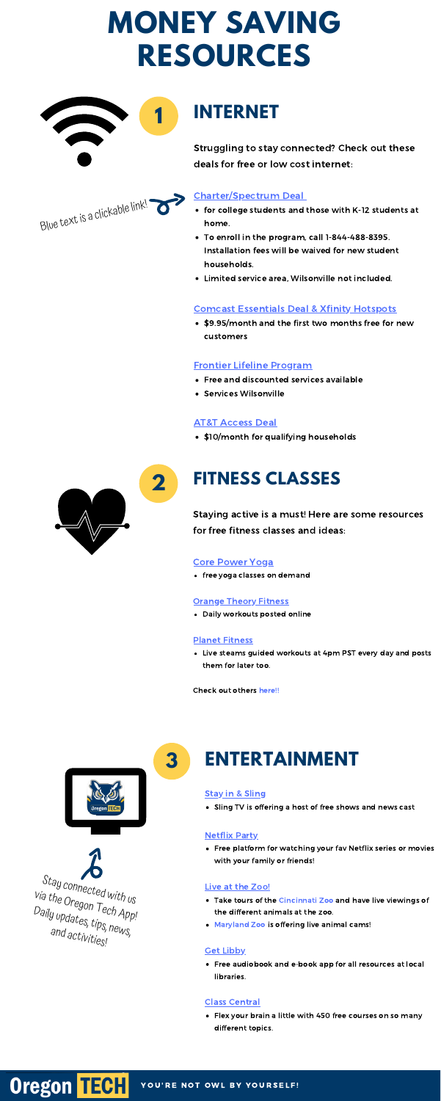# **INTERNET**

- for college students and those with K-12 students at home.
- To enroll in the program, call 1-844-488-8395. Installation fees will be waived for new student households.
- Limited service area, Wilsonville not included.

• \$9.95/month and the first two months free for new customers

- Free and discounted services available
- Services Wilsonville

\$10/month for qualifying households



Struggling to stay connected? Check out these deals for free or low cost internet:

## [Charter/Spectrum](https://corporate.charter.com/newsroom/charter-to-offer-free-access-to-spectrum-broadband-and-wifi-for-60-days-for-new-K12-and-college-student-households-and-more) Deal

### Comcast [Essentials](https://www.xfinity.com/support/articles/comcast-broadband-opportunity-program) Deal & Xfinity [Hotspots](https://www.wxyz.com/news/national/coronavirus/comcast-offering-internet-essentials-package-free-for-60-months-during-coronavirus-outbreak)

### Frontier Lifeline [Program](https://frontier.com/resources/discountprograms/lifeline-program)

### AT&T [Access](https://m.att.com/shopmobile/internet/access/) Deal



# **2 FITNESS CLASSES**

Daily workouts posted online

Live steams guided workouts at 4pm PST every day and posts

them for later too.

Stay connected with us via the Oregon Tech App!<br>Daily updates the <sup>g up</sup>dates, tips, news,<br><sup>and activity</sub></sup> and activities!

**Oregon TECH** 

Staying active is a must! Here are some resources for free fitness classes and ideas:

### Core [Power](https://www.corepoweryoga.com/yoga-on-demand) Yoga

• free yoga classes on demand

#### **[Orange](https://www.orangetheory.com/en-au/member-communication-regarding-coronavirus/) Theory Fitness**

#### Planet [Fitness](https://www.youtube.com/channel/UCZ0PnRz4jxOLZZ9XvGCiqfA)

Check out others [here!!](https://www.goodhousekeeping.com/health/fitness/a31792038/coronavirus-live-stream-workout-classes/)



# **3 ENTERTAINMENT**

#### **Stay in & [Sling](https://news.sling.com/2020-03-18-SLING-TV-launches-Stay-in-SLING-an-initiative-to-provide-free-news-and-entertainment-as-nation-grapples-with-outbreak)**

Sling TV is offering a host of free shows and news cast

Free platform for watching your fav Netflix series or movies with your family or friends!

#### Live at the Zoo!

- Take tours of the [Cincinnati](http://cincinnatizoo.org/news-releases/cincinnati-zoo-is-bringing-the-zoo-to-you/) Zoo and have live viewings of the different animals at the zoo.
- [Maryland](https://www.marylandzoo.org/animals/live-cams-feeds/) Zoo is offering live animal cams!

#### **Get [Libby](https://www.overdrive.com/apps/libby/)**

Free audiobook and e-book app for all resources at local libraries.

Flex your brain a little with 450 free courses on so many different topics.

YOU'RE NOT OWL BY YOURSELF!

#### [Netflix](https://www.netflixparty.com/) Party

#### Class [Central](https://www.classcentral.com/)

# **MONEY SAVING RESOURCES**